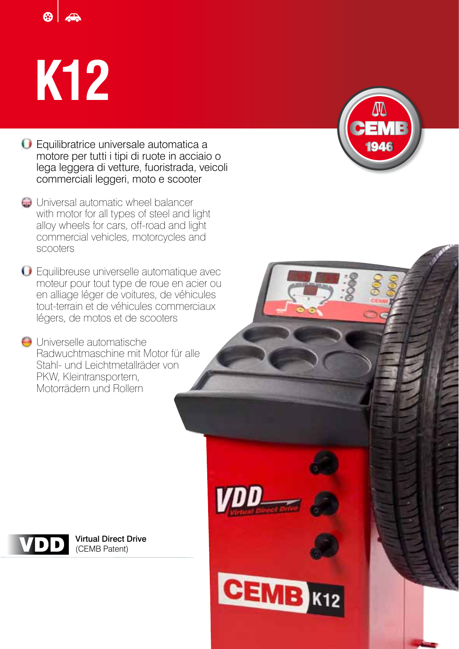## **K12**



- **G** Universal automatic wheel balancer with motor for all types of steel and light alloy wheels for cars, off-road and light commercial vehicles, motorcycles and scooters
- Equilibreuse universelle automatique avec moteur pour tout type de roue en acier ou en alliage léger de voitures, de véhicules tout-terrain et de véhicules commerciaux légers, de motos et de scooters
- Universelle automatische Radwuchtmaschine mit Motor für alle Stahl- und Leichtmetallräder von PKW, Kleintransportern, Motorrädern und Rollern





Virtual Direct Drive (CEMB Patent)

**CEMB K12**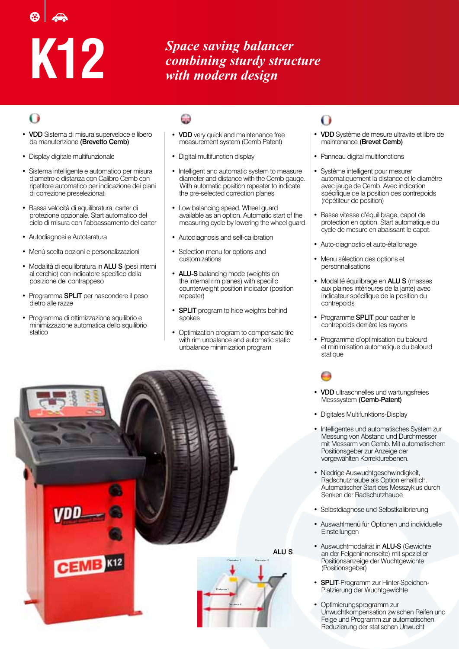# **K12**

*Space saving balancer combining sturdy structure with modern design*

- VDD Sistema di misura superveloce e libero da manutenzione (Brevetto Cemb)
- Display digitale multifunzionale
- Sistema intelligente e automatico per misura diametro e distanza con Calibro Cemb con ripetitore automatico per indicazione dei piani di correzione preselezionati
- Bassa velocità di equilibratura, carter di protezione opzionale. Start automatico del ciclo di misura con l'abbassamento del carter
- Autodiagnosi e Autotaratura
- Menù scelta opzioni e personalizzazioni
- Modalità di equilibratura in **ALU S** (pesi interni al cerchio) con indicatore specifico della posizione del contrappeso
- Programma SPLIT per nascondere il peso dietro alle razze
- Programma di ottimizzazione squilibrio e minimizzazione automatica dello squilibrio statico

- VDD very quick and maintenance free measurement system (Cemb Patent)
- Digital multifunction display
- Intelligent and automatic system to measure diameter and distance with the Cemb gauge. With automatic position repeater to indicate the pre-selected correction planes
- Low balancing speed. Wheel guard available as an option. Automatic start of the measuring cycle by lowering the wheel guard.
- Autodiagnosis and self-calibration
- Selection menu for options and customizations
- ALU-S balancing mode (weights on the internal rim planes) with specific counterweight position indicator (position repeater)
- **SPLIT** program to hide weights behind spokes
- Optimization program to compensate tire with rim unbalance and automatic static unbalance minimization program



## 0

- VDD Système de mesure ultravite et libre de maintenance (Brevet Cemb)
- Panneau digital multifonctions
- Système intelligent pour mesurer automatiquement la distance et le diamètre avec jauge de Cemb. Avec indication spécifique de la position des contrepoids (répétiteur de position)
- Basse vitesse d'équilibrage, capot de protection en option. Start automatique du cycle de mesure en abaissant le capot.
- Auto-diagnostic et auto-étallonage
- Menu sélection des options et personnalisations
- Modalité équilibrage en ALU S (masses aux plaines intérieures de la jante) avec indicateur spécifique de la position du contrepoids
- Programme **SPLIT** pour cacher le contrepoids derrière les rayons
- Programme d'optimisation du balourd et minimisation automatique du balourd statique

- VDD ultraschnelles und wartungsfreies Messsystem (Cemb-Patent)
- Digitales Multifunktions-Display
- Intelligentes und automatisches System zur Messung von Abstand und Durchmesser mit Messarm von Cemb. Mit automatischem Positionsgeber zur Anzeige der vorgewählten Korrekturebenen.
- Niedrige Auswuchtgeschwindigkeit, Radschutzhaube als Option erhältlich. Automatischer Start des Messzyklus durch Senken der Radschutzhaube
- Selbstdiagnose und Selbstkalibrierung
- Auswahlmenü für Optionen und individuelle **Einstellungen**
- Auswuchtmodalität in ALU-S (Gewichte an der Felgeninnenseite) mit spezieller Positionsanzeige der Wuchtgewichte (Positionsgeber)
- SPLIT-Programm zur Hinter-Speichen-Platzierung der Wuchtgewichte
- Optimierungsprogramm zur Unwuchtkompensation zwischen Reifen und Felge und Programm zur automatischen Reduzierung der statischen Unwucht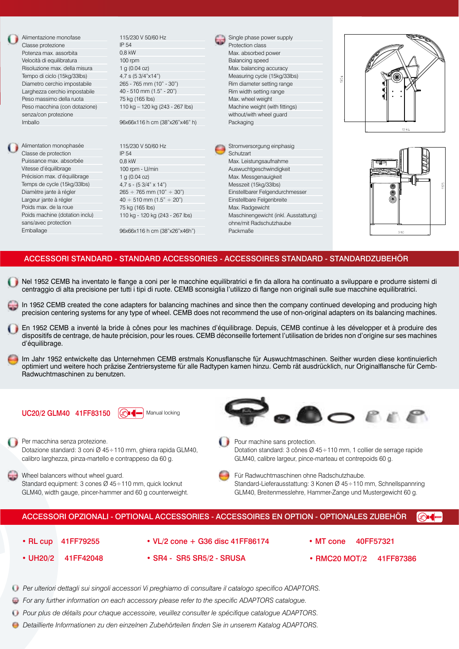

Précision max. d'équilibrage Temps de cycle (15kg/33lbs) Diamètre jante à régler Largeur jante à régler Poids max. de la roue Poids machine (dotation inclu) sans/avec protection Emballage

1 g (0.04 oz) 4,7 s - (5 3/4" x 14")  $265 \div 765$  mm  $(10" \div 30")$  $40 \div 510$  mm  $(1.5" \div 20")$ 75 kg (165 lbs) 110 kg - 120 kg (243 - 267 lbs) 96x66x116 h cm (38"x26"x46h") Max. Messgenauigkeit Messzeit (15kg/33lbs) Einstellbarer Felgendurchmesser Einstellbare Felgenbreite Max. Radgewicht Maschinengewicht (inkl. Ausstattung) ohne/mit Radschutzhaube Packmaße





### ACCESSORI STANDARD - STANDARD ACCESSORIES - ACCESSOIRES STANDARD - STANDARDZUBEHÖR

- Nel 1952 CEMB ha inventato le flange a coni per le macchine equilibratrici e fin da allora ha continuato a sviluppare e produrre sistemi di centraggio di alta precisione per tutti i tipi di ruote. CEMB sconsiglia l'utilizzo di flange non originali sulle sue macchine equilibratrici.
- In 1952 CEMB created the cone adapters for balancing machines and since then the company continued developing and producing high precision centering systems for any type of wheel. CEMB does not recommend the use of non-original adapters on its balancing machines.
- En 1952 CEMB a inventé la bride à cônes pour les machines d'équilibrage. Depuis, CEMB continue à les développer et à produire des dispositifs de centrage, de haute précision, pour les roues. CEMB déconseille fortement l'utilisation de brides non d'origine sur ses machines d'équilibrage.
- Im Jahr 1952 entwickelte das Unternehmen CEMB erstmals Konusflansche für Auswuchtmaschinen. Seither wurden diese kontinuierlich optimiert und weitere hoch präzise Zentriersysteme für alle Radtypen kamen hinzu. Cemb rät ausdrücklich, nur Originalflansche für Cemb-Radwuchtmaschinen zu benutzen.

 $UC20/2$  GLM40 41FF83150  $\mathbb{C}$   $\mathbb{C}$   $\mathbb{C}$  Manual locking



- Per macchina senza protezione. Dotazione standard: 3 coni Ø 45÷110 mm, ghiera rapida GLM40, calibro larghezza, pinza-martello e contrappeso da 60 g.
- Wheel balancers without wheel guard. Standard equipment: 3 cones Ø 45÷110 mm, quick locknut GLM40, width gauge, pincer-hammer and 60 g counterweight.



- **Pour machine sans protection.** Dotation standard: 3 cônes Ø 45÷110 mm, 1 collier de serrage rapide GLM40, calibre largeur, pince-marteau et contrepoids 60 g.
- 

Für Radwuchtmaschinen ohne Radschutzhaube. Standard-Lieferausstattung: 3 Konen Ø 45÷110 mm, Schnellspannring GLM40, Breitenmesslehre, Hammer-Zange und Mustergewicht 60 g.

#### ACCESSORI OPZIONALI - OPTIONAL ACCESSORIES - ACCESSOIRES EN OPTION - OPTIONALES ZUBEHÖR **COM**

- RL cup 41FF79255 VL/2 cone + G36 disc 41FF86174 MT cone 40FF57321 • UH20/2 41FF42048 • SR4 - SR5 SR5/2 - SRUSA • RMC20 MOT/2 41FF87386
- *Per ulteriori dettagli sui singoli accessori Vi preghiamo di consultare il catalogo specifico ADAPTORS.*
- *For any further information on each accessory please refer to the specific ADAPTORS catalogue.*
- *Pour plus de détails pour chaque accessoire, veuillez consulter le spécifique catalogue ADAPTORS.*
- *Detaillierte Informationen zu den einzelnen Zubehörteilen finden Sie in unserem Katalog ADAPTORS.*